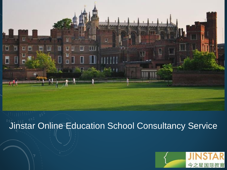

# **Jinstar Online Education School Consultancy Service**

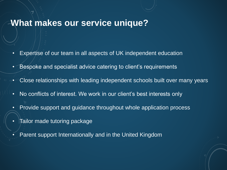### **What makes our service unique?**

- Expertise of our team in all aspects of UK independent education
- Bespoke and specialist advice catering to client's requirements
- Close relationships with leading independent schools built over many years
- No conflicts of interest. We work in our client's best interests only
- Provide support and guidance throughout whole application process
- Tailor made tutoring package
- Parent support Internationally and in the United Kingdom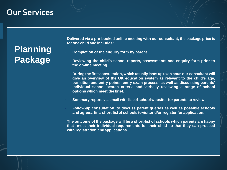### **Our Services**

# **Planning Package**

**Delivered via a pre-booked online meeting with our consultant, the package price is for one child and includes:**

• **Completion of the enquiry form by parent.**

• **Reviewing the child's school reports, assessments and enquiry form prior to the on-line meeting.**

• **During the first consultation, which usually lasts up to an hour,our consultant will give an overview of the UK education system as relevant to the child's age, transition and entry points, entry exam process, as well as discussing parents' individual school search criteria and verbally reviewing a range of school options which meet the brief.**

• **Summary report via email with list of school websitesfor parents to review.**

• **Follow-up consultation, to discuss parent queries as well as possible schools and agreea finalshort-listof schools tovisitand/or register for application.**

**The outcome of the package will be a short-list of schools which parents are happy that meet their individual requirements for their child so that they can proceed with registration andapplications.**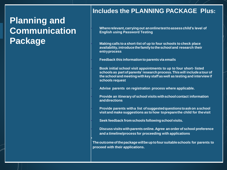## **Planning and Communication Package**

#### **Includes the PLANNING PACKAGE Plus:**

• **Whererelevant,carryingout anonlinetesttoassesschild's level of English using Password Testing**

• **Makingcalls to a short-list of up to four schools to check place availability,introducethefamilytotheschool and research their entryprocess**

• **Feedback this informationto parents via emails**

• **Book initial school visit appointments to up to four short- listed schools as partofparents'researchprocess.Thiswill include a tourof the school and meetingwithkey staff aswell as testing and interview if schools request**

• **Advise parents on registration process where applicable.**

• **Provide an itineraryof school visits withschoolcontact information anddirections**

• **Provide parents witha list ofsuggestedquestionstoaskon aschool visitand make suggestions as to how topreparethe child for thevisit**

• **Seek feedback fromschools followingschoolvisits.**

•

• **Discuss visitswithparents online. Agree an order of school preference and a timeline/process for proceeding with applications**

**Theoutcomeofthepackagewillbeuptofoursuitableschools for parents to proceed with their applications.**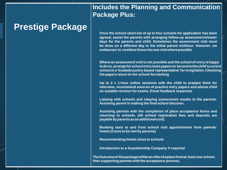### **Prestige Package**

**Includes the Planning and Communication Package Plus:**

• **Once the school short-list of up to four schools for application has been agreed, assist the parents with arranging follow-up assessments/taster days for the parents and child. Sometimes the assessment visit must be done on a different day to the initial parent visit/tour. However, we endeavour to combinetheseintoone visitwherepossible**

• **Where an assessment visit is not possible and the school of entryishappy todoso,arrangeforschoolentrytestspapersto besenttothechild'scurrent schoolora'trustedcountry-based representative'forinvigilation.Checking the papers return to the school formarking**

• **Up to 2 x 1-hour online sessions with the child to prepare them for interview, recommend sources of practice entry papers and advise child on suitable revision for exams. Email feedback toparents**

• **Liaising with schools and relaying assessment results to the parents. Assisting parent in making the final school decision.**

• **Assisting parents with the completion of place acceptance forms and returning to schools. (All school registration fees and deposits are payablebyparentsas anadditionalcost)**

• **Booking taxis to and from school visit appointments from parents' hotels (Costs to be met by parents)**

• **Recommending hotels close to schools**

• **Introduction to a Guardianship Company if required**

**TheOutcomeof thepackagewillbeanofferofaplacefromat least one school, then supporting parents with the acceptance process.**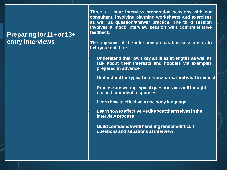#### **Preparingfor11+or13+ entry interviews**

**Three x 1 hour interview preparation sessions with our consultant, involving planning worksheets and exercises as well as question/answer practice. The third session involves a mock interview session with comprehensive feedback.**

**The objective of the interview preparation sessions is to helpyour child to:**

• **Understand their own key abilities/strengths as well as talk about their interests and hobbies via examples prepared in advance**

• **Understandthetypical interviewformatandwhattoexpect.**

• **Practise answering typical questions via wellthought out and confident responses**

• **Learn how to effectively use body language**

• **Learnhowtoeffectivelytalkaboutthemselvesinthe interview process**

• **Buildconfidencewithhandlingrandom/difficult questionsand situations at interview**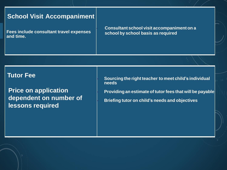#### **School Visit Accompaniment**

**Fees include consultant travel expenses and time.**

• **Consultant school visit accompaniment on a school by school basis as required**

**Tutor Fee**

**Price on application dependent on number of lessons required**

• **Sourcing the right teacher to meet child's individual needs** • **Providing an estimate of tutorfees that will be payable** • **Briefing tutor on child's needs and objectives**